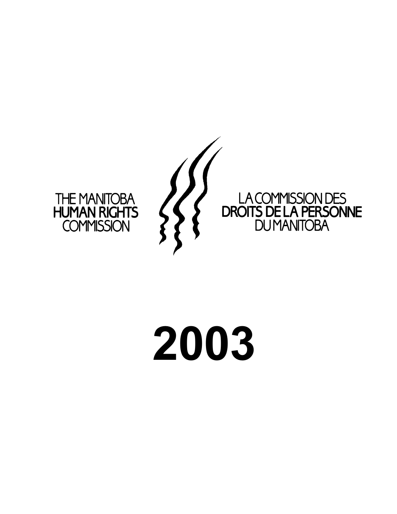

#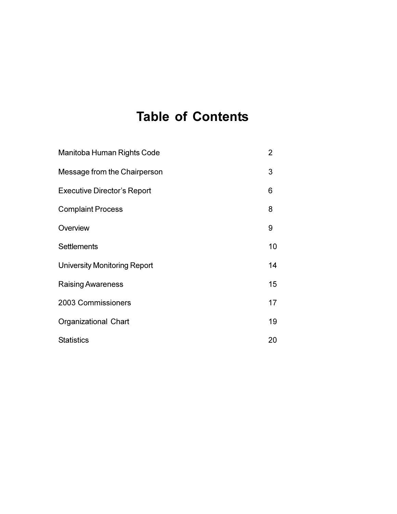# **Table of Contents**

| Manitoba Human Rights Code          | 2  |
|-------------------------------------|----|
| Message from the Chairperson        | 3  |
| <b>Executive Director's Report</b>  | 6  |
| <b>Complaint Process</b>            | 8  |
| Overview                            | 9  |
| <b>Settlements</b>                  | 10 |
| <b>University Monitoring Report</b> | 14 |
| <b>Raising Awareness</b>            | 15 |
| 2003 Commissioners                  | 17 |
| Organizational Chart                | 19 |
| <b>Statistics</b>                   | 20 |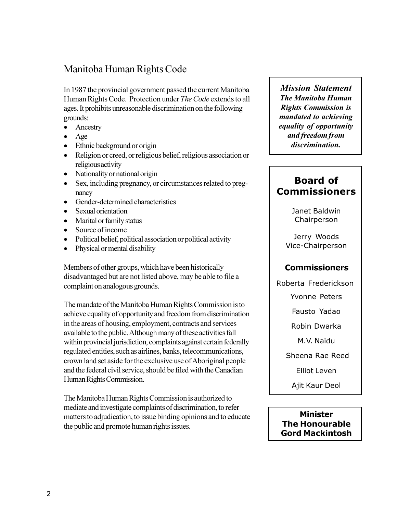# Manitoba Human Rights Code

In 1987 the provincial government passed the current Manitoba Human Rights Code. Protection under *The Code* extends to all ages. It prohibits unreasonable discrimination on the following grounds:

- Ancestry
- · Age
- Ethnic background or origin
- · Religion or creed, or religious belief, religious association or religious activity
- Nationality or national origin
- Sex, including pregnancy, or circumstances related to pregnancy
- Gender-determined characteristics
- · Sexual orientation
- Marital or family status
- Source of income
- Political belief, political association or political activity
- Physical or mental disability

Members of other groups, which have been historically disadvantaged but are not listed above, may be able to file a complaint on analogous grounds.

The mandate of the Manitoba Human Rights Commission is to achieve equality of opportunity and freedom from discrimination in the areas of housing, employment, contracts and services available to the public. Although many of these activities fall within provincial jurisdiction, complaints against certain federally regulated entities, such as airlines, banks, telecommunications, crown land set aside for the exclusive use of Aboriginal people and the federal civil service, should be filed with the Canadian Human Rights Commission.

The Manitoba Human Rights Commission is authorized to mediate and investigate complaints of discrimination, to refer matters to adjudication, to issue binding opinions and to educate the public and promote human rights issues.

*Mission Statement The Manitoba Human Rights Commission is mandated to achieving equality of opportunity and freedom from discrimination.*

# **Board of Commissioners**

Janet Baldwin Chairperson

Jerry Woods Vice-Chairperson

### **Commissioners**

Roberta Frederickson

Yvonne Peters

Fausto Yadao

Robin Dwarka

M.V. Naidu

Sheena Rae Reed

Elliot Leven

Ajit Kaur Deol

### **Minister The Honourable Gord Mackintosh**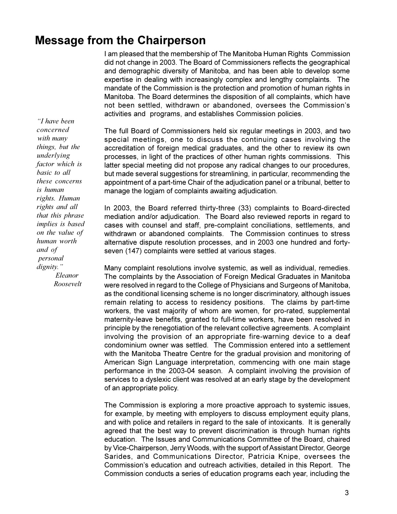# **Message from the Chairperson**

I am pleased that the membership of The Manitoba Human Rights Commission did not change in 2003. The Board of Commissioners reflects the geographical and demographic diversity of Manitoba, and has been able to develop some expertise in dealing with increasingly complex and lengthy complaints. The mandate of the Commission is the protection and promotion of human rights in Manitoba. The Board determines the disposition of all complaints, which have not been settled, withdrawn or abandoned, oversees the Commission's activities and programs, and establishes Commission policies.

The full Board of Commissioners held six regular meetings in 2003, and two special meetings, one to discuss the continuing cases involving the accreditation of foreign medical graduates, and the other to review its own processes, in light of the practices of other human rights commissions. This latter special meeting did not propose any radical changes to our procedures, but made several suggestions for streamlining, in particular, recommending the appointment of a part-time Chair of the adjudication panel or a tribunal, better to manage the logjam of complaints awaiting adjudication.

In 2003, the Board referred thirty-three (33) complaints to Board-directed mediation and/or adjudication. The Board also reviewed reports in regard to cases with counsel and staff, pre-complaint conciliations, settlements, and withdrawn or abandoned complaints. The Commission continues to stress alternative dispute resolution processes, and in 2003 one hundred and fortyseven (147) complaints were settled at various stages.

Many complaint resolutions involve systemic, as well as individual, remedies. The complaints by the Association of Foreign Medical Graduates in Manitoba were resolved in regard to the College of Physicians and Surgeons of Manitoba, as the conditional licensing scheme is no longer discriminatory, although issues remain relating to access to residency positions. The claims by part-time workers, the vast majority of whom are women, for pro-rated, supplemental maternity-leave benefits, granted to full-time workers, have been resolved in principle by the renegotiation of the relevant collective agreements. A complaint involving the provision of an appropriate fire-warning device to a deaf condominium owner was settled. The Commission entered into a settlement with the Manitoba Theatre Centre for the gradual provision and monitoring of American Sign Language interpretation, commencing with one main stage performance in the 2003-04 season. A complaint involving the provision of services to a dyslexic client was resolved at an early stage by the development of an appropriate policy.

The Commission is exploring a more proactive approach to systemic issues, for example, by meeting with employers to discuss employment equity plans, and with police and retailers in regard to the sale of intoxicants. It is generally agreed that the best way to prevent discrimination is through human rights education. The Issues and Communications Committee of the Board, chaired by Vice-Chairperson, Jerry Woods, with the support of Assistant Director, George Sarides, and Communications Director, Patricia Knipe, oversees the Commission's education and outreach activities, detailed in this Report. The Commission conducts a series of education programs each year, including the

 *I have been concerned with many things, but the underlying factor which is basic to all these concerns is human rights. Human rights and all that this phrase implies is based on the value of human worth and of personal dignity. Eleanor Roosevelt*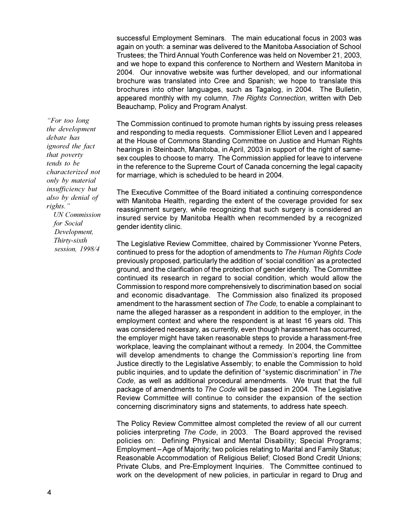successful Employment Seminars. The main educational focus in 2003 was again on youth: a seminar was delivered to the Manitoba Association of School Trustees; the Third Annual Youth Conference was held on November 21, 2003, and we hope to expand this conference to Northern and Western Manitoba in 2004. Our innovative website was further developed, and our informational brochure was translated into Cree and Spanish; we hope to translate this brochures into other languages, such as Tagalog, in 2004. The Bulletin, appeared monthly with my column, *The Rights Connection*, written with Deb Beauchamp, Policy and Program Analyst.

The Commission continued to promote human rights by issuing press releases and responding to media requests. Commissioner Elliot Leven and I appeared at the House of Commons Standing Committee on Justice and Human Rights hearings in Steinbach, Manitoba, in April, 2003 in support of the right of samesex couples to choose to marry. The Commission applied for leave to intervene in the reference to the Supreme Court of Canada concerning the legal capacity for marriage, which is scheduled to be heard in 2004.

The Executive Committee of the Board initiated a continuing correspondence with Manitoba Health, regarding the extent of the coverage provided for sex reassignment surgery, while recognizing that such surgery is considered an insured service by Manitoba Health when recommended by a recognized gender identity clinic.

The Legislative Review Committee, chaired by Commissioner Yvonne Peters, continued to press for the adoption of amendments to *The Human Rights Code* previously proposed, particularly the addition of 'social condition' as a protected ground, and the clarification of the protection of gender identity. The Committee continued its research in regard to social condition, which would allow the Commission to respond more comprehensively to discrimination based on social and economic disadvantage. The Commission also finalized its proposed amendment to the harassment section of *The Code,* to enable a complainant to name the alleged harasser as a respondent in addition to the employer, in the employment context and where the respondent is at least 16 years old. This was considered necessary, as currently, even though harassment has occurred, the employer might have taken reasonable steps to provide a harassment-free workplace, leaving the complainant without a remedy. In 2004, the Committee will develop amendments to change the Commission's reporting line from Justice directly to the Legislative Assembly; to enable the Commission to hold public inquiries, and to update the definition of "systemic discrimination" in *The Code*, as well as additional procedural amendments. We trust that the full package of amendments to *The Code* will be passed in 2004. The Legislative Review Committee will continue to consider the expansion of the section concerning discriminatory signs and statements, to address hate speech.

The Policy Review Committee almost completed the review of all our current policies interpreting *The Code*, in 2003. The Board approved the revised policies on: Defining Physical and Mental Disability; Special Programs; Employment – Age of Majority; two policies relating to Marital and Family Status; Reasonable Accommodation of Religious Belief; Closed Bond Credit Unions; Private Clubs, and Pre-Employment Inquiries. The Committee continued to work on the development of new policies, in particular in regard to Drug and

*For too long the development debate has ignored the fact that poverty tends to be characterized not only by material insufficiency but also by denial of rights.*

 *UN Commission for Social Development, Thirty-sixth session, 1998/4*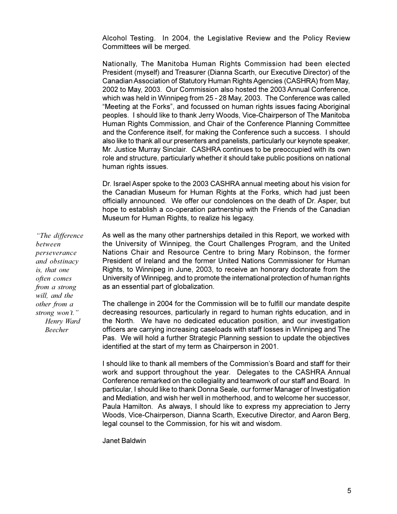Alcohol Testing. In 2004, the Legislative Review and the Policy Review Committees will be merged.

Nationally, The Manitoba Human Rights Commission had been elected President (myself) and Treasurer (Dianna Scarth, our Executive Director) of the Canadian Association of Statutory Human Rights Agencies (CASHRA) from May, 2002 to May, 2003. Our Commission also hosted the 2003 Annual Conference, which was held in Winnipeg from 25 - 28 May, 2003. The Conference was called "Meeting at the Forks", and focussed on human rights issues facing Aboriginal peoples. I should like to thank Jerry Woods, Vice-Chairperson of The Manitoba Human Rights Commission, and Chair of the Conference Planning Committee and the Conference itself, for making the Conference such a success. I should also like to thank all our presenters and panelists, particularly our keynote speaker, Mr. Justice Murray Sinclair. CASHRA continues to be preoccupied with its own role and structure, particularly whether it should take public positions on national human rights issues.

Dr. Israel Asper spoke to the 2003 CASHRA annual meeting about his vision for the Canadian Museum for Human Rights at the Forks, which had just been officially announced. We offer our condolences on the death of Dr. Asper, but hope to establish a co-operation partnership with the Friends of the Canadian Museum for Human Rights, to realize his legacy.

As well as the many other partnerships detailed in this Report, we worked with the University of Winnipeg, the Court Challenges Program, and the United Nations Chair and Resource Centre to bring Mary Robinson, the former President of Ireland and the former United Nations Commissioner for Human Rights, to Winnipeg in June, 2003, to receive an honorary doctorate from the University of Winnipeg, and to promote the international protection of human rights as an essential part of globalization.

The challenge in 2004 for the Commission will be to fulfill our mandate despite decreasing resources, particularly in regard to human rights education, and in the North. We have no dedicated education position, and our investigation officers are carrying increasing caseloads with staff losses in Winnipeg and The Pas. We will hold a further Strategic Planning session to update the objectives identified at the start of my term as Chairperson in 2001.

I should like to thank all members of the Commission's Board and staff for their work and support throughout the year. Delegates to the CASHRA Annual Conference remarked on the collegiality and teamwork of our staff and Board. In particular, I should like to thank Donna Seale, our former Manager of Investigation and Mediation, and wish her well in motherhood, and to welcome her successor, Paula Hamilton. As always, I should like to express my appreciation to Jerry Woods, Vice-Chairperson, Dianna Scarth, Executive Director, and Aaron Berg, legal counsel to the Commission, for his wit and wisdom.

Janet Baldwin

*The difference between perseverance and obstinacy is, that one often comes from a strong will, and the other from a* strong won't."  *Henry Ward Beecher*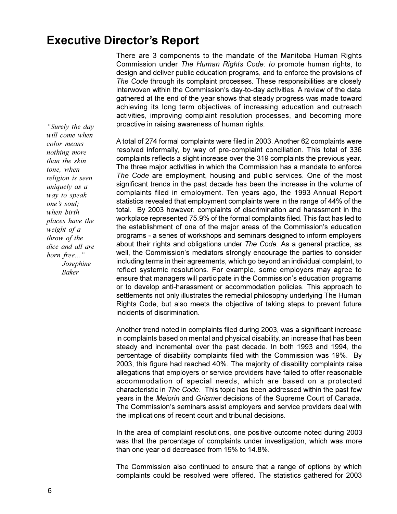# **Executive Director's Report**

There are 3 components to the mandate of the Manitoba Human Rights Commission under *The Human Rights Code: to* promote human rights, to design and deliver public education programs, and to enforce the provisions of *The Code* through its complaint processes. These responsibilities are closely interwoven within the Commission's day-to-day activities. A review of the data gathered at the end of the year shows that steady progress was made toward achieving its long term objectives of increasing education and outreach activities, improving complaint resolution processes, and becoming more proactive in raising awareness of human rights.

A total of 274 formal complaints were filed in 2003. Another 62 complaints were resolved informally, by way of pre-complaint conciliation. This total of 336 complaints reflects a slight increase over the 319 complaints the previous year. The three major activities in which the Commission has a mandate to enforce *The Code* are employment, housing and public services. One of the most significant trends in the past decade has been the increase in the volume of complaints filed in employment. Ten years ago, the 1993 Annual Report statistics revealed that employment complaints were in the range of 44% of the total. By 2003 however, complaints of discrimination and harassment in the workplace represented 75.9% of the formal complaints filed. This fact has led to the establishment of one of the major areas of the Commission's education programs - a series of workshops and seminars designed to inform employers about their rights and obligations under *The Code.* As a general practice, as well, the Commission's mediators strongly encourage the parties to consider including terms in their agreements, which go beyond an individual complaint, to reflect systemic resolutions. For example, some employers may agree to ensure that managers will participate in the Commission's education programs or to develop anti-harassment or accommodation policies. This approach to settlements not only illustrates the remedial philosophy underlying The Human Rights Code, but also meets the objective of taking steps to prevent future incidents of discrimination.

Another trend noted in complaints filed during 2003, was a significant increase in complaints based on mental and physical disability, an increase that has been steady and incremental over the past decade. In both 1993 and 1994, the percentage of disability complaints filed with the Commission was 19%. By 2003, this figure had reached 40%. The majority of disability complaints raise allegations that employers or service providers have failed to offer reasonable accommodation of special needs, which are based on a protected characteristic in *The Code*. This topic has been addressed within the past few years in the *Meiorin* and *Grismer* decisions of the Supreme Court of Canada. The Commission's seminars assist employers and service providers deal with the implications of recent court and tribunal decisions.

In the area of complaint resolutions, one positive outcome noted during 2003 was that the percentage of complaints under investigation, which was more than one year old decreased from 19% to 14.8%.

The Commission also continued to ensure that a range of options by which complaints could be resolved were offered. The statistics gathered for 2003

*Surely the day will come when color means nothing more than the skin tone, when religion is seen uniquely as a way to speak ones soul; when birth places have the weight of a throw of the dice and all are born free... Josephine Baker*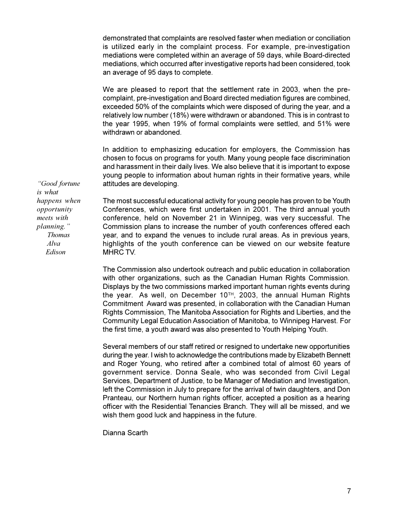demonstrated that complaints are resolved faster when mediation or conciliation is utilized early in the complaint process. For example, pre-investigation mediations were completed within an average of 59 days, while Board-directed mediations, which occurred after investigative reports had been considered, took an average of 95 days to complete.

We are pleased to report that the settlement rate in 2003, when the precomplaint, pre-investigation and Board directed mediation figures are combined, exceeded 50% of the complaints which were disposed of during the year, and a relatively low number (18%) were withdrawn or abandoned. This is in contrast to the year 1995, when 19% of formal complaints were settled, and 51% were withdrawn or abandoned.

In addition to emphasizing education for employers, the Commission has chosen to focus on programs for youth. Many young people face discrimination and harassment in their daily lives. We also believe that it is important to expose young people to information about human rights in their formative years, while attitudes are developing.

 *Good fortune is what happens when opportunity meets with planning. Thomas Alva Edison*

The most successful educational activity for young people has proven to be Youth Conferences, which were first undertaken in 2001. The third annual youth conference, held on November 21 in Winnipeg, was very successful. The Commission plans to increase the number of youth conferences offered each year, and to expand the venues to include rural areas. As in previous years, highlights of the youth conference can be viewed on our website feature MHRC TV.

The Commission also undertook outreach and public education in collaboration with other organizations, such as the Canadian Human Rights Commission. Displays by the two commissions marked important human rights events during the year. As well, on December 10<sup>TH</sup>, 2003, the annual Human Rights Commitment Award was presented, in collaboration with the Canadian Human Rights Commission, The Manitoba Association for Rights and Liberties, and the Community Legal Education Association of Manitoba, to Winnipeg Harvest. For the first time, a youth award was also presented to Youth Helping Youth.

Several members of our staff retired or resigned to undertake new opportunities during the year. I wish to acknowledge the contributions made by Elizabeth Bennett and Roger Young, who retired after a combined total of almost 60 years of government service. Donna Seale, who was seconded from Civil Legal Services, Department of Justice, to be Manager of Mediation and Investigation, left the Commission in July to prepare for the arrival of twin daughters, and Don Pranteau, our Northern human rights officer, accepted a position as a hearing officer with the Residential Tenancies Branch. They will all be missed, and we wish them good luck and happiness in the future.

Dianna Scarth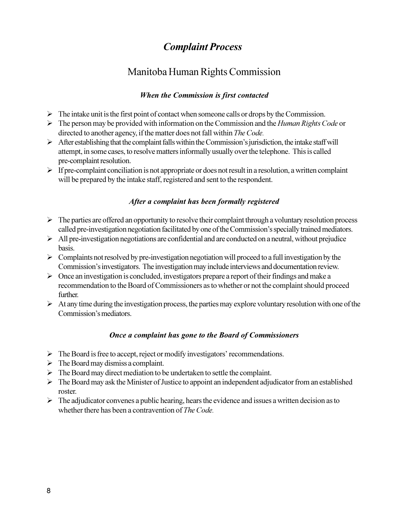# *Complaint Process*

# Manitoba Human Rights Commission

### *When the Commission is first contacted*

- $\triangleright$  The intake unit is the first point of contact when someone calls or drops by the Commission.
- Ø The person may be provided with information on the Commission and the *Human Rights Code* or directed to another agency, if the matter does not fall within *The Code.*
- $\triangleright$  After establishing that the complaint falls within the Commission's jurisdiction, the intake staff will attempt, in some cases, to resolve matters informally usually over the telephone. This is called pre-complaint resolution.
- $\triangleright$  If pre-complaint conciliation is not appropriate or does not result in a resolution, a written complaint will be prepared by the intake staff, registered and sent to the respondent.

### *After a complaint has been formally registered*

- $\triangleright$  The parties are offered an opportunity to resolve their complaint through a voluntary resolution process called pre-investigation negotiation facilitated by one of the Commission's specially trained mediators.
- $\triangleright$  All pre-investigation negotiations are confidential and are conducted on a neutral, without prejudice basis.
- $\triangleright$  Complaints not resolved by pre-investigation negotiation will proceed to a full investigation by the Commission's investigators. The investigation may include interviews and documentation review.
- $\triangleright$  Once an investigation is concluded, investigators prepare a report of their findings and make a recommendation to the Board of Commissioners as to whether or not the complaint should proceed further.
- $\triangleright$  At any time during the investigation process, the parties may explore voluntary resolution with one of the Commission's mediators

### *Once a complaint has gone to the Board of Commissioners*

- $\triangleright$  The Board is free to accept, reject or modify investigators' recommendations.
- $\triangleright$  The Board may dismiss a complaint.
- $\triangleright$  The Board may direct mediation to be undertaken to settle the complaint.
- $\triangleright$  The Board may ask the Minister of Justice to appoint an independent adjudicator from an established roster.
- $\triangleright$  The adjudicator convenes a public hearing, hears the evidence and issues a written decision as to whether there has been a contravention of *The Code.*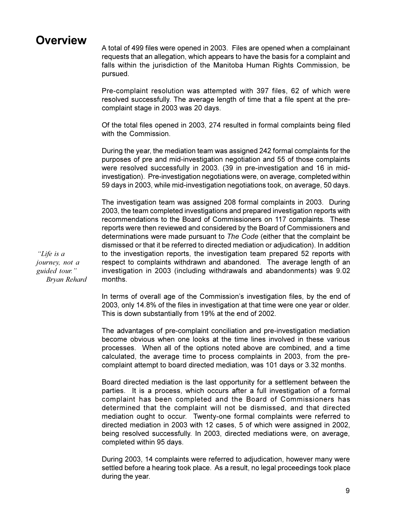# **Overview**

A total of 499 files were opened in 2003. Files are opened when a complainant requests that an allegation, which appears to have the basis for a complaint and falls within the jurisdiction of the Manitoba Human Rights Commission, be pursued.

Pre-complaint resolution was attempted with 397 files, 62 of which were resolved successfully. The average length of time that a file spent at the precomplaint stage in 2003 was 20 days.

Of the total files opened in 2003, 274 resulted in formal complaints being filed with the Commission.

During the year, the mediation team was assigned 242 formal complaints for the purposes of pre and mid-investigation negotiation and 55 of those complaints were resolved successfully in 2003. (39 in pre-investigation and 16 in midinvestigation). Pre-investigation negotiations were, on average, completed within 59 days in 2003, while mid-investigation negotiations took, on average, 50 days.

The investigation team was assigned 208 formal complaints in 2003. During 2003, the team completed investigations and prepared investigation reports with recommendations to the Board of Commissioners on 117 complaints. These reports were then reviewed and considered by the Board of Commissioners and determinations were made pursuant to *The Code* (either that the complaint be dismissed or that it be referred to directed mediation or adjudication). In addition to the investigation reports, the investigation team prepared 52 reports with respect to complaints withdrawn and abandoned. The average length of an investigation in 2003 (including withdrawals and abandonments) was 9.02 months.

In terms of overall age of the Commission's investigation files, by the end of 2003, only 14.8% of the files in investigation at that time were one year or older. This is down substantially from 19% at the end of 2002.

The advantages of pre-complaint conciliation and pre-investigation mediation become obvious when one looks at the time lines involved in these various processes. When all of the options noted above are combined, and a time calculated, the average time to process complaints in 2003, from the precomplaint attempt to board directed mediation, was 101 days or 3.32 months.

Board directed mediation is the last opportunity for a settlement between the parties. It is a process, which occurs after a full investigation of a formal complaint has been completed and the Board of Commissioners has determined that the complaint will not be dismissed, and that directed mediation ought to occur. Twenty-one formal complaints were referred to directed mediation in 2003 with 12 cases, 5 of which were assigned in 2002, being resolved successfully. In 2003, directed mediations were, on average, completed within 95 days.

During 2003, 14 complaints were referred to adjudication, however many were settled before a hearing took place. As a result, no legal proceedings took place during the year.

 *Life is a journey, not a guided tour. Bryan Rehard*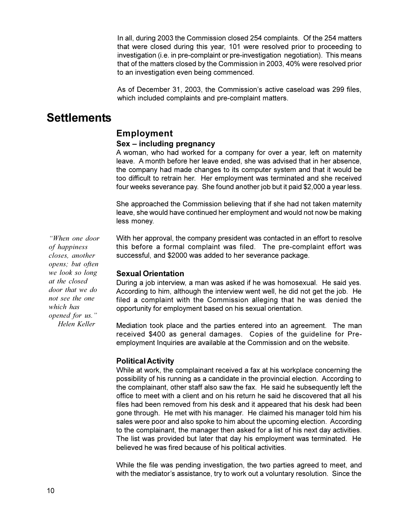In all, during 2003 the Commission closed 254 complaints. Of the 254 matters that were closed during this year, 101 were resolved prior to proceeding to investigation (i.e. in pre-complaint or pre-investigation negotiation). This means that of the matters closed by the Commission in 2003, 40% were resolved prior to an investigation even being commenced.

As of December 31, 2003, the Commission's active caseload was 299 files, which included complaints and pre-complaint matters.

# **Settlements**

# **Employment**

### **Sex** – including pregnancy

A woman, who had worked for a company for over a year, left on maternity leave. A month before her leave ended, she was advised that in her absence, the company had made changes to its computer system and that it would be too difficult to retrain her. Her employment was terminated and she received four weeks severance pay. She found another job but it paid \$2,000 a year less.

She approached the Commission believing that if she had not taken maternity leave, she would have continued her employment and would not now be making less money.

*When one door of happiness closes, another opens; but often we look so long at the closed door that we do not see the one which has opened for us. Helen Keller*

With her approval, the company president was contacted in an effort to resolve this before a formal complaint was filed. The pre-complaint effort was successful, and \$2000 was added to her severance package.

### **Sexual Orientation**

During a job interview, a man was asked if he was homosexual. He said yes. According to him, although the interview went well, he did not get the job. He filed a complaint with the Commission alleging that he was denied the opportunity for employment based on his sexual orientation.

Mediation took place and the parties entered into an agreement. The man received \$400 as general damages. Copies of the guideline for Preemployment Inquiries are available at the Commission and on the website.

### **Political Activity**

While at work, the complainant received a fax at his workplace concerning the possibility of his running as a candidate in the provincial election. According to the complainant, other staff also saw the fax. He said he subsequently left the office to meet with a client and on his return he said he discovered that all his files had been removed from his desk and it appeared that his desk had been gone through. He met with his manager. He claimed his manager told him his sales were poor and also spoke to him about the upcoming election. According to the complainant, the manager then asked for a list of his next day activities. The list was provided but later that day his employment was terminated. He believed he was fired because of his political activities.

While the file was pending investigation, the two parties agreed to meet, and with the mediator's assistance, try to work out a voluntary resolution. Since the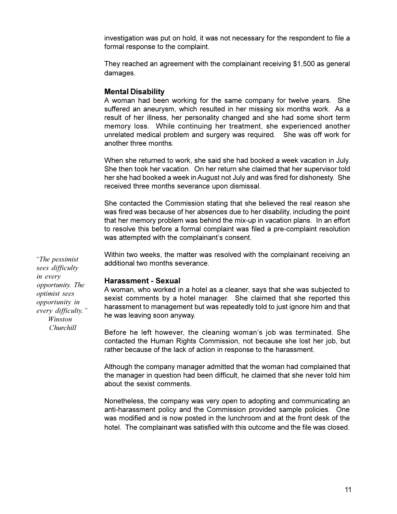investigation was put on hold, it was not necessary for the respondent to file a formal response to the complaint.

They reached an agreement with the complainant receiving \$1,500 as general damages.

### **Mental Disability**

A woman had been working for the same company for twelve years. She suffered an aneurysm, which resulted in her missing six months work. As a result of her illness, her personality changed and she had some short term memory loss. While continuing her treatment, she experienced another unrelated medical problem and surgery was required. She was off work for another three months.

When she returned to work, she said she had booked a week vacation in July. She then took her vacation. On her return she claimed that her supervisor told her she had booked a week in August not July and was fired for dishonesty. She received three months severance upon dismissal.

She contacted the Commission stating that she believed the real reason she was fired was because of her absences due to her disability, including the point that her memory problem was behind the mix-up in vacation plans. In an effort to resolve this before a formal complaint was filed a pre-complaint resolution was attempted with the complainant's consent.

Within two weeks, the matter was resolved with the complainant receiving an additional two months severance.

### **Harassment - Sexual**

A woman, who worked in a hotel as a cleaner, says that she was subjected to sexist comments by a hotel manager. She claimed that she reported this harassment to management but was repeatedly told to just ignore him and that he was leaving soon anyway.

Before he left however, the cleaning woman's job was terminated. She contacted the Human Rights Commission, not because she lost her job, but rather because of the lack of action in response to the harassment.

Although the company manager admitted that the woman had complained that the manager in question had been difficult, he claimed that she never told him about the sexist comments.

Nonetheless, the company was very open to adopting and communicating an anti-harassment policy and the Commission provided sample policies. One was modified and is now posted in the lunchroom and at the front desk of the hotel. The complainant was satisfied with this outcome and the file was closed.

 *The pessimist sees difficulty in every opportunity. The optimist sees opportunity in every difficulty. Winston Churchill*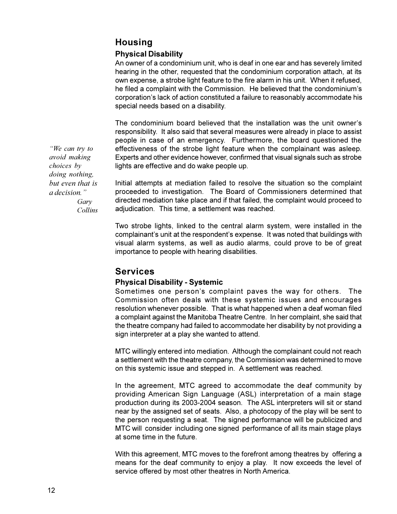# **Housing**

### **Physical Disability**

An owner of a condominium unit, who is deaf in one ear and has severely limited hearing in the other, requested that the condominium corporation attach, at its own expense, a strobe light feature to the fire alarm in his unit. When it refused, he filed a complaint with the Commission. He believed that the condominium's corporation's lack of action constituted a failure to reasonably accommodate his special needs based on a disability.

The condominium board believed that the installation was the unit owner's responsibility. It also said that several measures were already in place to assist people in case of an emergency. Furthermore, the board questioned the effectiveness of the strobe light feature when the complainant was asleep. Experts and other evidence however, confirmed that visual signals such as strobe lights are effective and do wake people up.

Initial attempts at mediation failed to resolve the situation so the complaint proceeded to investigation. The Board of Commissioners determined that directed mediation take place and if that failed, the complaint would proceed to adjudication. This time, a settlement was reached.

Two strobe lights, linked to the central alarm system, were installed in the complainant's unit at the respondent's expense. It was noted that buildings with visual alarm systems, as well as audio alarms, could prove to be of great importance to people with hearing disabilities.

### **Services**

### **Physical Disability - Systemic**

Sometimes one person's complaint paves the way for others. The Commission often deals with these systemic issues and encourages resolution whenever possible. That is what happened when a deaf woman filed a complaint against the Manitoba Theatre Centre. In her complaint, she said that the theatre company had failed to accommodate her disability by not providing a sign interpreter at a play she wanted to attend.

MTC willingly entered into mediation. Although the complainant could not reach a settlement with the theatre company, the Commission was determined to move on this systemic issue and stepped in. A settlement was reached.

In the agreement, MTC agreed to accommodate the deaf community by providing American Sign Language (ASL) interpretation of a main stage production during its 2003-2004 season. The ASL interpreters will sit or stand near by the assigned set of seats. Also, a photocopy of the play will be sent to the person requesting a seat. The signed performance will be publicized and MTC will consider including one signed performance of all its main stage plays at some time in the future.

With this agreement, MTC moves to the forefront among theatres by offering a means for the deaf community to enjoy a play. It now exceeds the level of service offered by most other theatres in North America.

*We can try to avoid making choices by doing nothing, but even that is a decision. Gary Collins*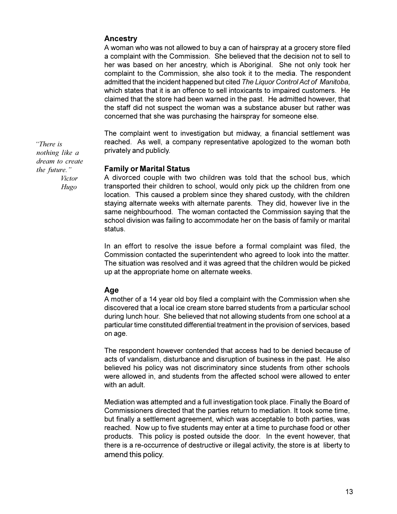### **Ancestry**

A woman who was not allowed to buy a can of hairspray at a grocery store filed a complaint with the Commission. She believed that the decision not to sell to her was based on her ancestry, which is Aboriginal. She not only took her complaint to the Commission, she also took it to the media. The respondent admitted that the incident happened but cited *The Liquor Control Act of Manitoba*, which states that it is an offence to sell intoxicants to impaired customers. He claimed that the store had been warned in the past. He admitted however, that the staff did not suspect the woman was a substance abuser but rather was concerned that she was purchasing the hairspray for someone else.

The complaint went to investigation but midway, a financial settlement was reached. As well, a company representative apologized to the woman both privately and publicly.

### **Family or Marital Status**

A divorced couple with two children was told that the school bus, which transported their children to school, would only pick up the children from one location. This caused a problem since they shared custody, with the children staying alternate weeks with alternate parents. They did, however live in the same neighbourhood. The woman contacted the Commission saying that the school division was failing to accommodate her on the basis of family or marital status.

In an effort to resolve the issue before a formal complaint was filed, the Commission contacted the superintendent who agreed to look into the matter. The situation was resolved and it was agreed that the children would be picked up at the appropriate home on alternate weeks.

### **Age**

A mother of a 14 year old boy filed a complaint with the Commission when she discovered that a local ice cream store barred students from a particular school during lunch hour. She believed that not allowing students from one school at a particular time constituted differential treatment in the provision of services, based on age.

The respondent however contended that access had to be denied because of acts of vandalism, disturbance and disruption of business in the past. He also believed his policy was not discriminatory since students from other schools were allowed in, and students from the affected school were allowed to enter with an adult.

Mediation was attempted and a full investigation took place. Finally the Board of Commissioners directed that the parties return to mediation. It took some time, but finally a settlement agreement, which was acceptable to both parties, was reached. Now up to five students may enter at a time to purchase food or other products. This policy is posted outside the door. In the event however, that there is a re-occurrence of destructive or illegal activity, the store is at liberty to amend this policy.

 *There is nothing like a dream to create the future. Victor Hugo*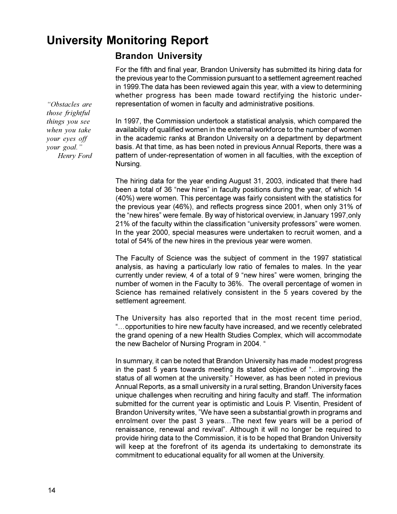# **University Monitoring Report**

# **Brandon University**

For the fifth and final year, Brandon University has submitted its hiring data for the previous year to the Commission pursuant to a settlement agreement reached in 1999.The data has been reviewed again this year, with a view to determining whether progress has been made toward rectifying the historic underrepresentation of women in faculty and administrative positions.

In 1997, the Commission undertook a statistical analysis, which compared the availability of qualified women in the external workforce to the number of women in the academic ranks at Brandon University on a department by department basis. At that time, as has been noted in previous Annual Reports, there was a pattern of under-representation of women in all faculties, with the exception of Nursing.

The hiring data for the year ending August 31, 2003, indicated that there had been a total of 36 "new hires" in faculty positions during the year, of which 14 (40%) were women. This percentage was fairly consistent with the statistics for the previous year (46%), and reflects progress since 2001, when only 31% of the "new hires" were female. By way of historical overview, in January 1997, only 21% of the faculty within the classification "university professors" were women. In the year 2000, special measures were undertaken to recruit women, and a total of 54% of the new hires in the previous year were women.

The Faculty of Science was the subject of comment in the 1997 statistical analysis, as having a particularly low ratio of females to males. In the year currently under review, 4 of a total of 9 "new hires" were women, bringing the number of women in the Faculty to 36%. The overall percentage of women in Science has remained relatively consistent in the 5 years covered by the settlement agreement.

The University has also reported that in the most recent time period, "...opportunities to hire new faculty have increased, and we recently celebrated the grand opening of a new Health Studies Complex, which will accommodate the new Bachelor of Nursing Program in 2004.

In summary, it can be noted that Brandon University has made modest progress in the past 5 years towards meeting its stated objective of "... improving the status of all women at the university." However, as has been noted in previous Annual Reports, as a small university in a rural setting, Brandon University faces unique challenges when recruiting and hiring faculty and staff. The information submitted for the current year is optimistic and Louis P. Visentin, President of Brandon University writes, "We have seen a substantial growth in programs and enrolment over the past 3 years...The next few years will be a period of renaissance, renewal and revival". Although it will no longer be required to provide hiring data to the Commission, it is to be hoped that Brandon University will keep at the forefront of its agenda its undertaking to demonstrate its commitment to educational equality for all women at the University.

*Obstacles are those frightful things you see when you take your eyes off your goal. Henry Ford*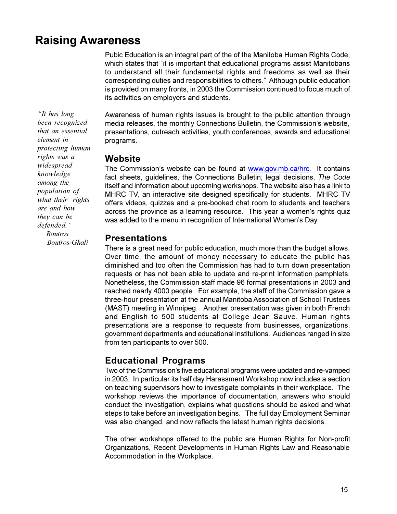# **Raising Awareness**

Pubic Education is an integral part of the of the Manitoba Human Rights Code, which states that "it is important that educational programs assist Manitobans to understand all their fundamental rights and freedoms as well as their corresponding duties and responsibilities to others." Although public education is provided on many fronts, in 2003 the Commission continued to focus much of its activities on employers and students.

*It has long been recognized that an essential element in protecting human rights was a widespread knowledge among the population of what their rights are and how they can be defended. Boutros Boutros-Ghali*

Awareness of human rights issues is brought to the public attention through media releases, the monthly Connections Bulletin, the Commission's website, presentations, outreach activities, youth conferences, awards and educational programs.

### **Website**

The Commission's website can be found at www.gov.mb.ca/hrc. It contains fact sheets, guidelines, the Connections Bulletin, legal decisions, *The Code* itself and information about upcoming workshops. The website also has a link to MHRC TV, an interactive site designed specifically for students. MHRC TV offers videos, quizzes and a pre-booked chat room to students and teachers across the province as a learning resource. This year a women's rights quiz was added to the menu in recognition of International Women's Day.

### **Presentations**

There is a great need for public education, much more than the budget allows. Over time, the amount of money necessary to educate the public has diminished and too often the Commission has had to turn down presentation requests or has not been able to update and re-print information pamphlets. Nonetheless, the Commission staff made 96 formal presentations in 2003 and reached nearly 4000 people. For example, the staff of the Commission gave a three-hour presentation at the annual Manitoba Association of School Trustees (MAST) meeting in Winnipeg. Another presentation was given in both French and English to 500 students at College Jean Sauve. Human rights presentations are a response to requests from businesses, organizations, government departments and educational institutions. Audiences ranged in size from ten participants to over 500.

# **Educational Programs**

Two of the Commission's five educational programs were updated and re-vamped in 2003. In particular its half day Harassment Workshop now includes a section on teaching supervisors how to investigate complaints in their workplace. The workshop reviews the importance of documentation, answers who should conduct the investigation, explains what questions should be asked and what steps to take before an investigation begins. The full day Employment Seminar was also changed, and now reflects the latest human rights decisions.

The other workshops offered to the public are Human Rights for Non-profit Organizations, Recent Developments in Human Rights Law and Reasonable Accommodation in the Workplace.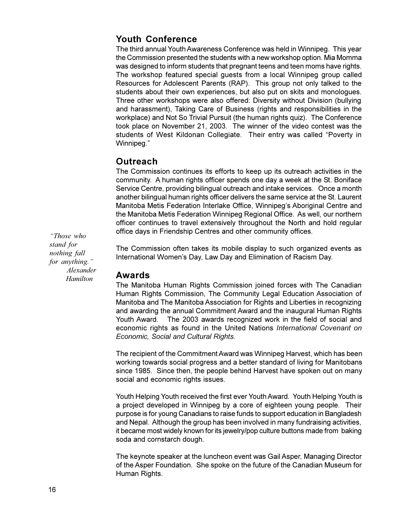# **Youth Conference**

The third annual Youth Awareness Conference was held in Winnipeg. This year the Commission presented the students with a new workshop option. Mia Momma was designed to inform students that pregnant teens and teen moms have rights. The workshop featured special guests from a local Winnipeg group called Resources for Adolescent Parents (RAP). This group not only talked to the students about their own experiences, but also put on skits and monologues. Three other workshops were also offered: Diversity without Division (bullying and harassment), Taking Care of Business (rights and responsibilities in the workplace) and Not So Trivial Pursuit (the human rights quiz). The Conference took place on November 21, 2003. The winner of the video contest was the students of West Kildonan Collegiate. Their entry was called "Poverty in Winnipeg."

### **Outreach**

The Commission continues its efforts to keep up its outreach activities in the community. A human rights officer spends one day a week at the St. Boniface Service Centre, providing bilingual outreach and intake services. Once a month another bilingual human rights officer delivers the same service at the St. Laurent Manitoba Metis Federation Interlake Office, Winnipeg's Aboriginal Centre and the Manitoba Metis Federation Winnipeg Regional Office. As well, our northern officer continues to travel extensively throughout the North and hold regular office days in Friendship Centres and other community offices.

*Those who stand for nothing fall for anything. Alexander Hamilton*

The Commission often takes its mobile display to such organized events as International Women's Day, Law Day and Elimination of Racism Day.

### **Awards**

The Manitoba Human Rights Commission joined forces with The Canadian Human Rights Commission, The Community Legal Education Association of Manitoba and The Manitoba Association for Rights and Liberties in recognizing and awarding the annual Commitment Award and the inaugural Human Rights Youth Award. The 2003 awards recognized work in the field of social and economic rights as found in the United Nations *International Covenant on Economic, Social and Cultural Rights.*

The recipient of the Commitment Award was Winnipeg Harvest, which has been working towards social progress and a better standard of living for Manitobans since 1985. Since then, the people behind Harvest have spoken out on many social and economic rights issues.

Youth Helping Youth received the first ever Youth Award. Youth Helping Youth is a project developed in Winnipeg by a core of eighteen young people. Their purpose is for young Canadians to raise funds to support education in Bangladesh and Nepal. Although the group has been involved in many fundraising activities, it became most widely known for its jewelry/pop culture buttons made from baking soda and cornstarch dough.

The keynote speaker at the luncheon event was Gail Asper, Managing Director of the Asper Foundation. She spoke on the future of the Canadian Museum for Human Rights.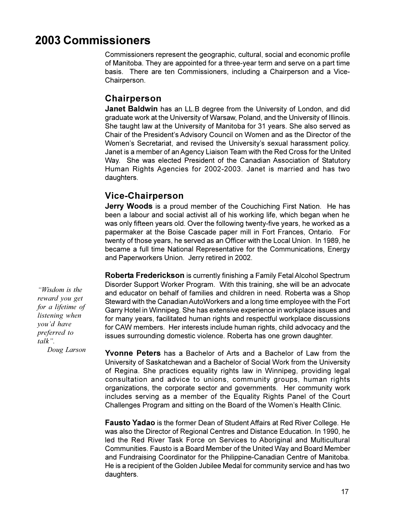# **2003 Commissioners**

Commissioners represent the geographic, cultural, social and economic profile of Manitoba. They are appointed for a three-year term and serve on a part time basis. There are ten Commissioners, including a Chairperson and a Vice-Chairperson.

### **Chairperson**

**Janet Baldwin** has an LL.B degree from the University of London, and did graduate work at the University of Warsaw, Poland, and the University of Illinois. She taught law at the University of Manitoba for 31 years. She also served as Chair of the President's Advisory Council on Women and as the Director of the Women's Secretariat, and revised the University's sexual harassment policy. Janet is a member of an Agency Liaison Team with the Red Cross for the United Way. She was elected President of the Canadian Association of Statutory Human Rights Agencies for 2002-2003. Janet is married and has two daughters.

# **Vice-Chairperson**

**Jerry Woods** is a proud member of the Couchiching First Nation. He has been a labour and social activist all of his working life, which began when he was only fifteen years old. Over the following twenty-five years, he worked as a papermaker at the Boise Cascade paper mill in Fort Frances, Ontario. For twenty of those years, he served as an Officer with the Local Union. In 1989, he became a full time National Representative for the Communications, Energy and Paperworkers Union. Jerry retired in 2002.

**Roberta Frederickson** is currently finishing a Family Fetal Alcohol Spectrum Disorder Support Worker Program. With this training, she will be an advocate and educator on behalf of families and children in need. Roberta was a Shop Steward with the Canadian AutoWorkers and a long time employee with the Fort Garry Hotel in Winnipeg. She has extensive experience in workplace issues and for many years, facilitated human rights and respectful workplace discussions for CAW members. Her interests include human rights, child advocacy and the issues surrounding domestic violence. Roberta has one grown daughter.

**Yvonne Peters** has a Bachelor of Arts and a Bachelor of Law from the University of Saskatchewan and a Bachelor of Social Work from the University of Regina. She practices equality rights law in Winnipeg, providing legal consultation and advice to unions, community groups, human rights organizations, the corporate sector and governments. Her community work includes serving as a member of the Equality Rights Panel of the Court Challenges Program and sitting on the Board of the Women's Health Clinic.

**Fausto Yadao** is the former Dean of Student Affairs at Red River College. He was also the Director of Regional Centres and Distance Education. In 1990, he led the Red River Task Force on Services to Aboriginal and Multicultural Communities. Fausto is a Board Member of the United Way and Board Member and Fundraising Coordinator for the Philippine-Canadian Centre of Manitoba. He is a recipient of the Golden Jubilee Medal for community service and has two daughters.

*Wisdom is the reward you get for a lifetime of listening when you'd have preferred to talk. Doug Larson*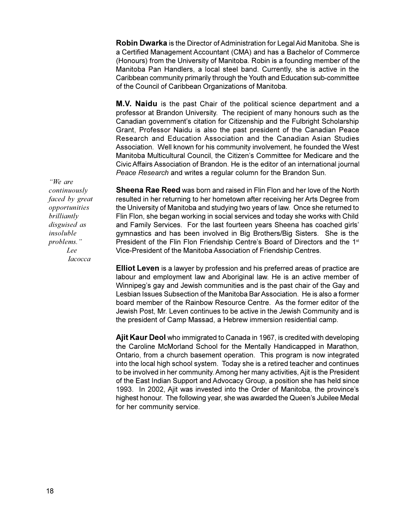**Robin Dwarka** is the Director of Administration for Legal Aid Manitoba. She is a Certified Management Accountant (CMA) and has a Bachelor of Commerce (Honours) from the University of Manitoba. Robin is a founding member of the Manitoba Pan Handlers, a local steel band. Currently, she is active in the Caribbean community primarily through the Youth and Education sub-committee of the Council of Caribbean Organizations of Manitoba.

**M.V. Naidu** is the past Chair of the political science department and a professor at Brandon University. The recipient of many honours such as the Canadian government's citation for Citizenship and the Fulbright Scholarship Grant, Professor Naidu is also the past president of the Canadian Peace Research and Education Association and the Canadian Asian Studies Association. Well known for his community involvement, he founded the West Manitoba Multicultural Council, the Citizen's Committee for Medicare and the Civic Affairs Association of Brandon. He is the editor of an international journal *Peace Research* and writes a regular column for the Brandon Sun.

*We are continuously faced by great opportunities brilliantly disguised as insoluble problems. Lee Iacocca*

**Sheena Rae Reed** was born and raised in Flin Flon and her love of the North resulted in her returning to her hometown after receiving her Arts Degree from the University of Manitoba and studying two years of law. Once she returned to Flin Flon, she began working in social services and today she works with Child and Family Services. For the last fourteen years Sheena has coached girls gymnastics and has been involved in Big Brothers/Big Sisters. She is the President of the Flin Flon Friendship Centre's Board of Directors and the  $1<sup>st</sup>$ Vice-President of the Manitoba Association of Friendship Centres.

**Elliot Leven** is a lawyer by profession and his preferred areas of practice are labour and employment law and Aboriginal law. He is an active member of Winnipeg's gay and Jewish communities and is the past chair of the Gay and Lesbian Issues Subsection of the Manitoba Bar Association. He is also a former board member of the Rainbow Resource Centre. As the former editor of the Jewish Post, Mr. Leven continues to be active in the Jewish Community and is the president of Camp Massad, a Hebrew immersion residential camp.

**Ajit Kaur Deol** who immigrated to Canada in 1967, is credited with developing the Caroline McMorland School for the Mentally Handicapped in Marathon, Ontario, from a church basement operation. This program is now integrated into the local high school system. Today she is a retired teacher and continues to be involved in her community. Among her many activities, Ajit is the President of the East Indian Support and Advocacy Group, a position she has held since 1993. In 2002, Ajit was invested into the Order of Manitoba, the province's highest honour. The following year, she was awarded the Queen's Jubilee Medal for her community service.